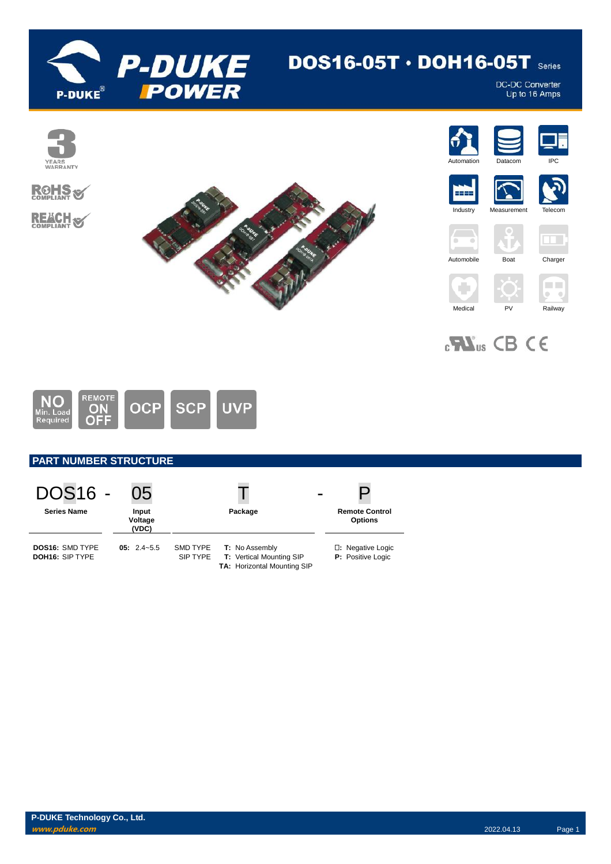

# DOS16-05T  $\cdot$  DOH16-05T series

DC-DC Converter<br>Up to 16 Amps



REMOTE<br> **ON**<br> **OFF NO UVP OCP SCP** Min. Load<br>Required

### **PART NUMBER STRUCTURE**

| <b>DOS16 -</b>                                   | 05                        |                      |                                                                                         | P                                             |
|--------------------------------------------------|---------------------------|----------------------|-----------------------------------------------------------------------------------------|-----------------------------------------------|
| <b>Series Name</b>                               | Input<br>Voltage<br>(VDC) |                      | Package                                                                                 | <b>Remote Control</b><br><b>Options</b>       |
| <b>DOS16: SMD TYPE</b><br><b>DOH16: SIP TYPE</b> | $05: 2.4 - 5.5$           | SMD TYPE<br>SIP TYPE | <b>T:</b> No Assembly<br><b>T:</b> Vertical Mounting SIP<br>TA: Horizontal Mounting SIP | <b>D:</b> Negative Logic<br>P: Positive Logic |

**P-DUKE Technology Co., Ltd. www.pduke.com** 2022.04.13 Page 1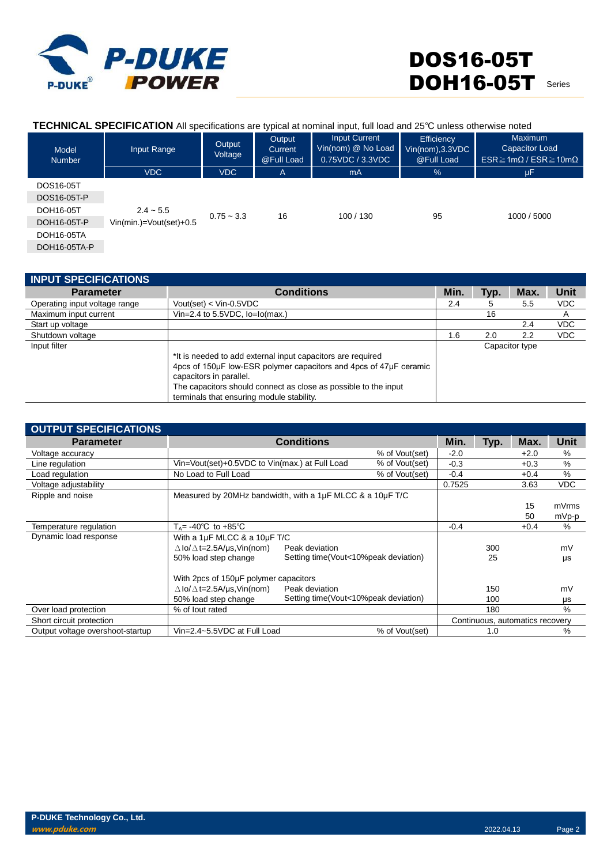

×.

| <b>TECHNICAL SPECIFICATION</b> All specifications are typical at nominal input, full load and 25°C unless otherwise noted |  |        |        |               |                   |         |  |
|---------------------------------------------------------------------------------------------------------------------------|--|--------|--------|---------------|-------------------|---------|--|
|                                                                                                                           |  | Qutnut | Output | Input Current | <b>Efficiency</b> | Maximum |  |

| Model<br><b>Number</b> | Input Range               | Output<br>Voltage | $-$ 0.00 $-$<br>Current<br>@Full Load | Vin(nom) @ No Load<br>0.75VDC / 3.3VDC | ----------<br>Vin(nom), 3.3VDC<br>@Full Load | Capacitor Load<br>$ESR \geq 1m\Omega$ / $ESR \geq 10m\Omega$ |
|------------------------|---------------------------|-------------------|---------------------------------------|----------------------------------------|----------------------------------------------|--------------------------------------------------------------|
|                        | <b>VDC</b>                | <b>VDC</b>        | A                                     | m <sub>A</sub>                         | %                                            | μF                                                           |
| DOS16-05T              |                           |                   |                                       |                                        |                                              |                                                              |
| DOS16-05T-P            |                           |                   |                                       |                                        |                                              |                                                              |
| DOH16-05T              | $2.4 - 5.5$               |                   | 16                                    | 100 / 130                              |                                              |                                                              |
| DOH16-05T-P            | $Vin(min.)=Vout(set)+0.5$ | $0.75 - 3.3$      |                                       |                                        | 95                                           | 1000 / 5000                                                  |
| DOH16-05TA             |                           |                   |                                       |                                        |                                              |                                                              |
| DOH16-05TA-P           |                           |                   |                                       |                                        |                                              |                                                              |

| <b>INPUT SPECIFICATIONS</b>   |                                                                                                                                                                                                                                                                             |      |      |                |            |
|-------------------------------|-----------------------------------------------------------------------------------------------------------------------------------------------------------------------------------------------------------------------------------------------------------------------------|------|------|----------------|------------|
| <b>Parameter</b>              | <b>Conditions</b>                                                                                                                                                                                                                                                           | Min. | Typ. | Max.           | Unit       |
| Operating input voltage range | Vout(set) < $V$ in-0.5 $VDC$                                                                                                                                                                                                                                                | 2.4  | 5    | 5.5            | <b>VDC</b> |
| Maximum input current         | Vin=2.4 to $5.5$ VDC, $lo = lo(max.)$                                                                                                                                                                                                                                       |      | 16   |                | A          |
| Start up voltage              |                                                                                                                                                                                                                                                                             |      |      | 2.4            | <b>VDC</b> |
| Shutdown voltage              |                                                                                                                                                                                                                                                                             | 1.6  | 2.0  | 2.2            | <b>VDC</b> |
| Input filter                  | *It is needed to add external input capacitors are required<br>4pcs of 150uF low-ESR polymer capacitors and 4pcs of 47uF ceramic<br>capacitors in parallel.<br>The capacitors should connect as close as possible to the input<br>terminals that ensuring module stability. |      |      | Capacitor type |            |

| <b>OUTPUT SPECIFICATIONS</b>     |                                                           |                                      |                |        |      |                                 |            |
|----------------------------------|-----------------------------------------------------------|--------------------------------------|----------------|--------|------|---------------------------------|------------|
| <b>Parameter</b>                 |                                                           | <b>Conditions</b>                    |                | Min.   | Typ. | Max.                            | Unit       |
| Voltage accuracy                 |                                                           |                                      | % of Vout(set) | $-2.0$ |      | $+2.0$                          | %          |
| Line regulation                  | Vin=Vout(set)+0.5VDC to Vin(max.) at Full Load            |                                      | % of Vout(set) | $-0.3$ |      | $+0.3$                          | %          |
| Load regulation                  | No Load to Full Load                                      |                                      | % of Vout(set) | $-0.4$ |      | $+0.4$                          | %          |
| Voltage adjustability            |                                                           |                                      |                | 0.7525 |      | 3.63                            | <b>VDC</b> |
| Ripple and noise                 | Measured by 20MHz bandwidth, with a 1µF MLCC & a 10µF T/C |                                      |                |        |      |                                 |            |
|                                  |                                                           |                                      |                |        |      | 15                              | mVrms      |
|                                  |                                                           |                                      |                |        |      | 50                              | mVp-p      |
| Temperature regulation           | $T_A$ = -40°C to +85°C                                    |                                      |                | $-0.4$ |      | $+0.4$                          | %          |
| Dynamic load response            | With a 1µF MLCC & a 10µF T/C                              |                                      |                |        |      |                                 |            |
|                                  | $\Delta$ lo/ $\Delta$ t=2.5A/us, Vin(nom)                 | Peak deviation                       |                |        | 300  |                                 | mV         |
|                                  | 50% load step change                                      | Setting time(Vout<10%peak deviation) |                |        | 25   |                                 | μs         |
|                                  | With 2pcs of 150µF polymer capacitors                     |                                      |                |        |      |                                 |            |
|                                  | $\Delta$ lo/ $\Delta$ t=2.5A/µs,Vin(nom)                  | Peak deviation                       |                |        | 150  |                                 | mV         |
|                                  | 50% load step change                                      | Setting time(Vout<10%peak deviation) |                |        | 100  |                                 | μs         |
| Over load protection             | % of lout rated                                           |                                      |                |        | 180  |                                 | $\%$       |
| Short circuit protection         |                                                           |                                      |                |        |      | Continuous, automatics recovery |            |
| Output voltage overshoot-startup | Vin=2.4~5.5VDC at Full Load                               |                                      | % of Vout(set) |        | 1.0  |                                 | %          |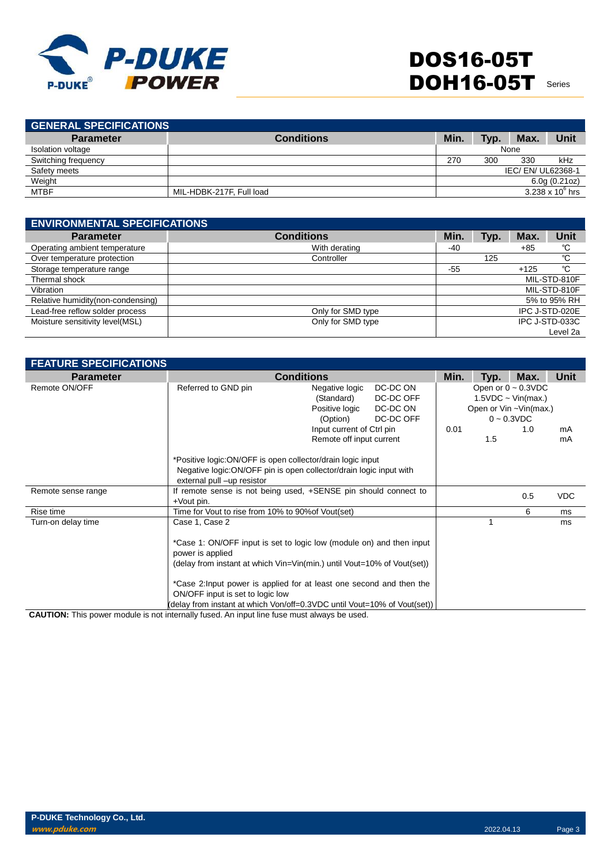

| <b>GENERAL SPECIFICATIONS</b> |                          |      |      |                  |                         |
|-------------------------------|--------------------------|------|------|------------------|-------------------------|
| <b>Parameter</b>              | <b>Conditions</b>        | Min. | Tvp. | Max.             | Unit                    |
| Isolation voltage             |                          |      |      | None             |                         |
| Switching frequency           |                          | 270  | 300  | 330              | kHz                     |
| Safety meets                  |                          |      |      | IEC/EN/UL62368-1 |                         |
| Weight                        |                          |      |      |                  | 6.0g(0.21oz)            |
| <b>MTBF</b>                   | MIL-HDBK-217F, Full load |      |      |                  | $3.238 \times 10^6$ hrs |
|                               |                          |      |      |                  |                         |

| <b>ENVIRONMENTAL SPECIFICATIONS</b> |                   |       |      |        |                |  |
|-------------------------------------|-------------------|-------|------|--------|----------------|--|
| <b>Parameter</b>                    | <b>Conditions</b> | Min.  | Typ. | Max.   | Unit           |  |
| Operating ambient temperature       | With derating     | $-40$ |      | $+85$  | °C             |  |
| Over temperature protection         | Controller        |       | 125  |        | °C             |  |
| Storage temperature range           |                   | -55   |      | $+125$ | °C             |  |
| Thermal shock                       |                   |       |      |        | MIL-STD-810F   |  |
| Vibration                           |                   |       |      |        | MIL-STD-810F   |  |
| Relative humidity (non-condensing)  |                   |       |      |        | 5% to 95% RH   |  |
| Lead-free reflow solder process     | Only for SMD type |       |      |        | IPC J-STD-020E |  |
| Moisture sensitivity level(MSL)     | Only for SMD type |       |      |        | IPC J-STD-033C |  |
|                                     |                   |       |      |        | Level 2a       |  |

| <b>FEATURE SPECIFICATIONS</b> |                                                                                                                                                                 |                                                            |                                                |      |     |                                                                                                |            |
|-------------------------------|-----------------------------------------------------------------------------------------------------------------------------------------------------------------|------------------------------------------------------------|------------------------------------------------|------|-----|------------------------------------------------------------------------------------------------|------------|
| <b>Parameter</b>              |                                                                                                                                                                 | <b>Conditions</b>                                          |                                                |      |     |                                                                                                | Unit       |
| Remote ON/OFF                 | Referred to GND pin                                                                                                                                             | Negative logic<br>(Standard)<br>Positive logic<br>(Option) | DC-DC ON<br>DC-DC OFF<br>DC-DC ON<br>DC-DC OFF |      |     | Open or $0 \sim 0.3$ VDC<br>$1.5VDC \sim Vin(max.)$<br>Open or Vin ~Vin(max.)<br>$0 - 0.3$ VDC |            |
|                               |                                                                                                                                                                 | Input current of Ctrl pin                                  |                                                | 0.01 |     | 1.0                                                                                            | mA         |
|                               |                                                                                                                                                                 | Remote off input current                                   |                                                |      | 1.5 |                                                                                                | mA         |
|                               | *Positive logic:ON/OFF is open collector/drain logic input<br>Negative logic: ON/OFF pin is open collector/drain logic input with<br>external pull -up resistor |                                                            |                                                |      |     |                                                                                                |            |
| Remote sense range            | If remote sense is not being used, +SENSE pin should connect to<br>+Vout pin.                                                                                   |                                                            |                                                |      |     | 0.5                                                                                            | <b>VDC</b> |
| Rise time                     |                                                                                                                                                                 | Time for Vout to rise from 10% to 90% of Vout (set)        |                                                |      |     | 6                                                                                              | ms         |
| Turn-on delay time            | Case 1, Case 2                                                                                                                                                  |                                                            |                                                |      |     |                                                                                                | ms         |
|                               | *Case 1: ON/OFF input is set to logic low (module on) and then input<br>power is applied                                                                        |                                                            |                                                |      |     |                                                                                                |            |
|                               | (delay from instant at which Vin=Vin(min.) until Vout=10% of Vout(set))                                                                                         |                                                            |                                                |      |     |                                                                                                |            |
|                               | *Case 2: Input power is applied for at least one second and then the<br>ON/OFF input is set to logic low                                                        |                                                            |                                                |      |     |                                                                                                |            |
|                               | (delay from instant at which Von/off=0.3VDC until Vout=10% of Vout(set))                                                                                        |                                                            |                                                |      |     |                                                                                                |            |

**CAUTION:** This power module is not internally fused. An input line fuse must always be used.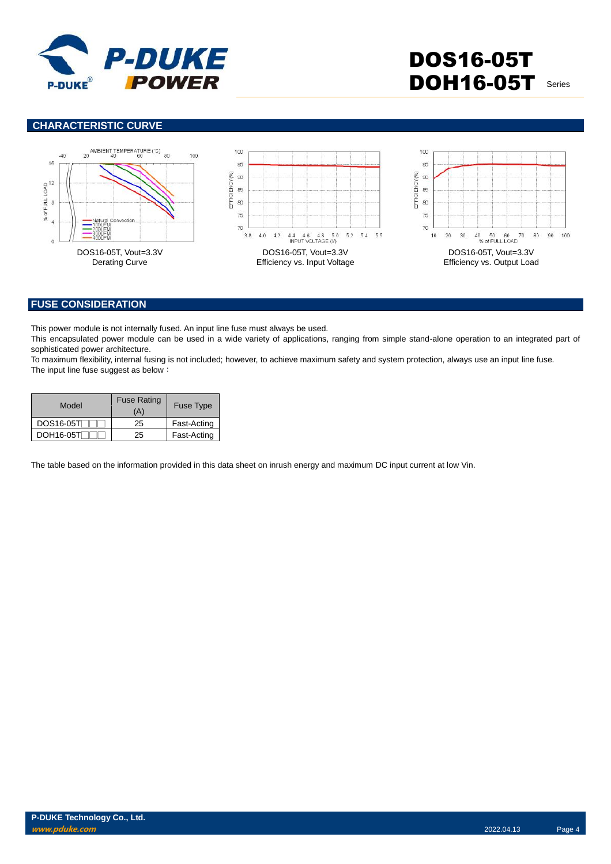

### **CHARACTERISTIC CURVE**



#### **FUSE CONSIDERATION**

This power module is not internally fused. An input line fuse must always be used.

This encapsulated power module can be used in a wide variety of applications, ranging from simple stand-alone operation to an integrated part of sophisticated power architecture.

To maximum flexibility, internal fusing is not included; however, to achieve maximum safety and system protection, always use an input line fuse. The input line fuse suggest as below:

| Model     | <b>Fuse Rating</b><br>(A) | <b>Fuse Type</b> |  |
|-----------|---------------------------|------------------|--|
| DOS16-05T | 25                        | Fast-Acting      |  |
| DOH16-05T | 25                        | Fast-Acting      |  |

The table based on the information provided in this data sheet on inrush energy and maximum DC input current at low Vin.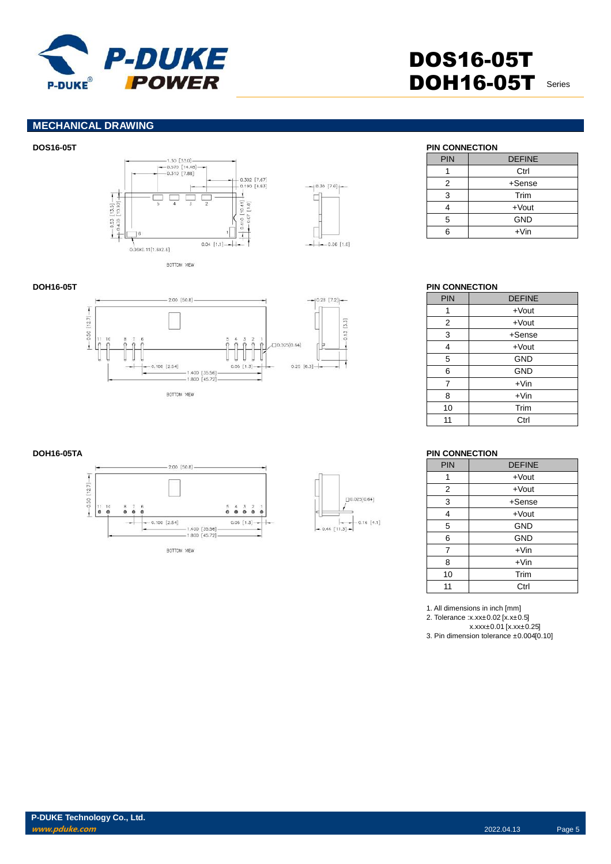

#### **MECHANICAL DRAWING**





| <b>PIN</b> | <b>DEFINE</b> |
|------------|---------------|
|            | Ctrl          |
| 2          | +Sense        |
| 3          | Trim          |
|            | $+$ Vout      |
| 5          | <b>GND</b>    |
|            | $+V$ in       |

## **DOH16-05T PIN CONNECTION**

| PIN | <b>DEFINE</b> |
|-----|---------------|
| 1   | $+$ Vout      |
| 2   | $+$ Vout      |
| 3   | $+$ Sense     |
| 4   | $+$ Vout      |
| 5   | <b>GND</b>    |
| 6   | <b>GND</b>    |
| 7   | $+V$ in       |
| 8   | $+V$ in       |
| 10  | Trim          |
| 11  | Ctrl          |

#### **DOH16-05TA PIN CONNECTION**

| <b>PIN</b> | <b>DEFINE</b> |
|------------|---------------|
| 1          | $+$ Vout      |
| 2          | $+$ Vout      |
| 3          | $+$ Sense     |
| 4          | $+$ Vout      |
| 5          | <b>GND</b>    |
| 6          | <b>GND</b>    |
| 7          | $+V$ in       |
| 8          | $+V$ in       |
| 10         | Trim          |
| 11         | Ctrl          |

1. All dimensions in inch [mm] 2. Tolerance :x.xx±0.02 [x.x±0.5] x.xxx±0.01 [x.xx±0.25] 3. Pin dimension tolerance ±0.004[0.10]





BOTTOM VIEW

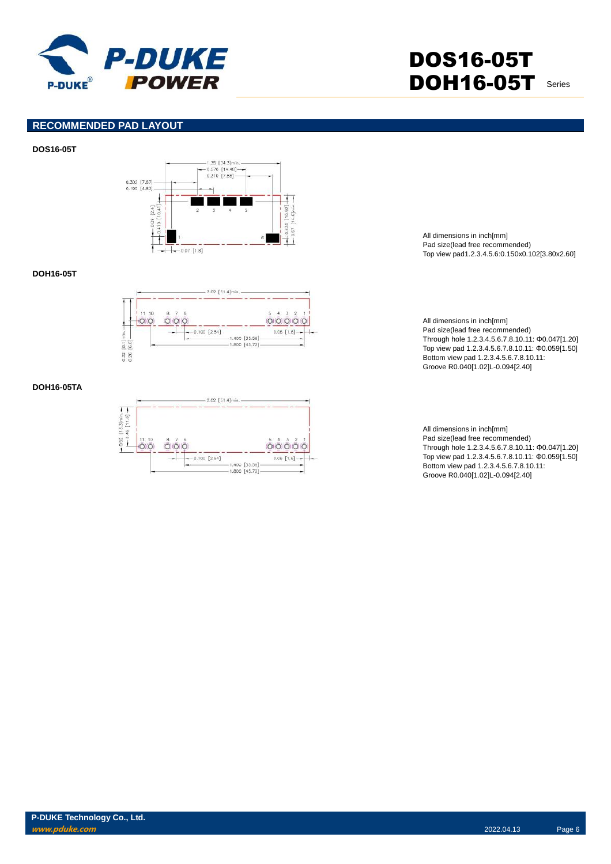

#### **RECOMMENDED PAD LAYOUT**

#### **DOS16-05T**



#### **DOH16-05T**



#### **DOH16-05TA**



All dimensions in inch[mm] Pad size(lead free recommended) Top view pad1.2.3.4.5.6:0.150x0.102[3.80x2.60]

All dimensions in inch[mm] Pad size(lead free recommended) Through hole 1.2.3.4.5.6.7.8.10.11: Φ0.047[1.20] Top view pad 1.2.3.4.5.6.7.8.10.11: Φ0.059[1.50] Bottom view pad 1.2.3.4.5.6.7.8.10.11: Groove R0.040[1.02]L-0.094[2.40]

All dimensions in inch[mm] Pad size(lead free recommended) Through hole 1.2.3.4.5.6.7.8.10.11: Φ0.047[1.20] Top view pad 1.2.3.4.5.6.7.8.10.11: Φ0.059[1.50] Bottom view pad 1.2.3.4.5.6.7.8.10.11: Groove R0.040[1.02]L-0.094[2.40]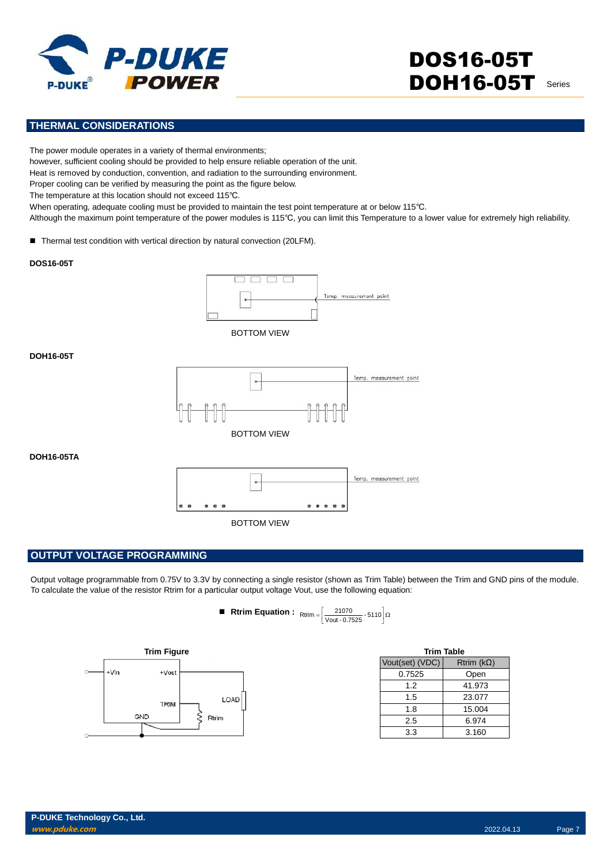

### **THERMAL CONSIDERATIONS**

The power module operates in a variety of thermal environments;

however, sufficient cooling should be provided to help ensure reliable operation of the unit.

Heat is removed by conduction, convention, and radiation to the surrounding environment.

Proper cooling can be verified by measuring the point as the figure below.

The temperature at this location should not exceed 115℃.

When operating, adequate cooling must be provided to maintain the test point temperature at or below 115℃.

Although the maximum point temperature of the power modules is 115℃, you can limit this Temperature to a lower value for extremely high reliability.

■ Thermal test condition with vertical direction by natural convection (20LFM).

#### **DOS16-05T**



BOTTOM VIEW

#### **DOH16-05T**



**DOH16-05TA**



#### **OUTPUT VOLTAGE PROGRAMMING**

Output voltage programmable from 0.75V to 3.3V by connecting a single resistor (shown as Trim Table) between the Trim and GND pins of the module. To calculate the value of the resistor Rtrim for a particular output voltage Vout, use the following equation:

> **■** Rtrim **Equation :**  $_{\text{Rtrim}} = \left[ \frac{21070}{\text{Vout} \cdot 0.7525} \cdot 5110 \right] \Omega$  $\left\lfloor \frac{21070}{\text{Vout} \cdot 0.7525} \cdot 5110 \right\rfloor$ Rtrim  $= \left[\frac{21070}{\text{Vout - 0.7525}} - 5110\right]$



| <b>Trim Table</b> |                   |
|-------------------|-------------------|
| Vout(set) (VDC)   | Rtrim $(k\Omega)$ |
| 0.7525            | Open              |
| 1.2               | 41.973            |
| 1.5               | 23.077            |
| 1.8               | 15.004            |
| 2.5               | 6.974             |
| 3.3               | 3.160             |